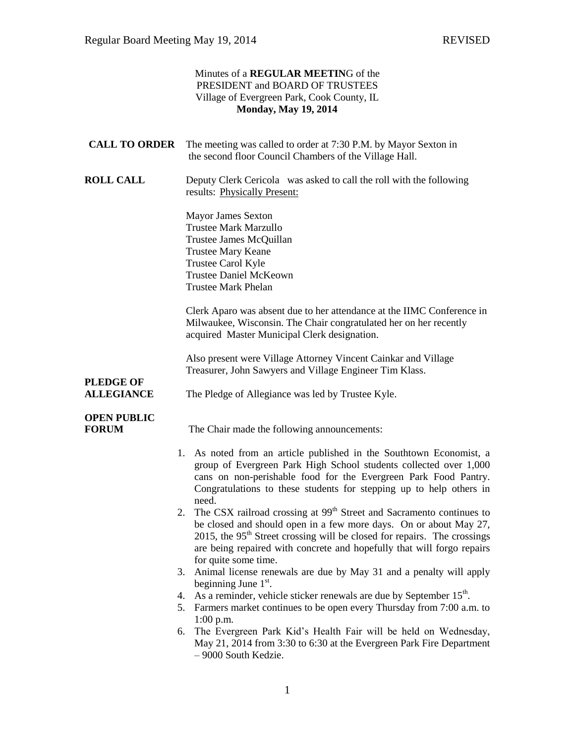|                                       | Minutes of a REGULAR MEETING of the<br>PRESIDENT and BOARD OF TRUSTEES<br>Village of Evergreen Park, Cook County, IL<br><b>Monday, May 19, 2014</b>                                                                                                                                                                                                   |
|---------------------------------------|-------------------------------------------------------------------------------------------------------------------------------------------------------------------------------------------------------------------------------------------------------------------------------------------------------------------------------------------------------|
| <b>CALL TO ORDER</b>                  | The meeting was called to order at 7:30 P.M. by Mayor Sexton in<br>the second floor Council Chambers of the Village Hall.                                                                                                                                                                                                                             |
| <b>ROLL CALL</b>                      | Deputy Clerk Cericola was asked to call the roll with the following<br>results: Physically Present:                                                                                                                                                                                                                                                   |
|                                       | <b>Mayor James Sexton</b><br><b>Trustee Mark Marzullo</b><br>Trustee James McQuillan<br><b>Trustee Mary Keane</b><br>Trustee Carol Kyle<br><b>Trustee Daniel McKeown</b><br><b>Trustee Mark Phelan</b>                                                                                                                                                |
|                                       | Clerk Aparo was absent due to her attendance at the IIMC Conference in<br>Milwaukee, Wisconsin. The Chair congratulated her on her recently<br>acquired Master Municipal Clerk designation.                                                                                                                                                           |
|                                       | Also present were Village Attorney Vincent Cainkar and Village<br>Treasurer, John Sawyers and Village Engineer Tim Klass.                                                                                                                                                                                                                             |
| <b>PLEDGE OF</b><br><b>ALLEGIANCE</b> | The Pledge of Allegiance was led by Trustee Kyle.                                                                                                                                                                                                                                                                                                     |
| <b>OPEN PUBLIC</b><br><b>FORUM</b>    | The Chair made the following announcements:                                                                                                                                                                                                                                                                                                           |
|                                       | 1. As noted from an article published in the Southtown Economist, a<br>group of Evergreen Park High School students collected over 1,000<br>cans on non-perishable food for the Evergreen Park Food Pantry.<br>Congratulations to these students for stepping up to help others in<br>need.                                                           |
|                                       | The CSX railroad crossing at 99 <sup>th</sup> Street and Sacramento continues to<br>2.<br>be closed and should open in a few more days. On or about May 27,<br>2015, the 95 <sup>th</sup> Street crossing will be closed for repairs. The crossings<br>are being repaired with concrete and hopefully that will forgo repairs<br>for quite some time. |
|                                       | Animal license renewals are due by May 31 and a penalty will apply<br>3.                                                                                                                                                                                                                                                                              |
|                                       | beginning June $1st$ .<br>As a reminder, vehicle sticker renewals are due by September 15 <sup>th</sup> .<br>4.                                                                                                                                                                                                                                       |
|                                       | Farmers market continues to be open every Thursday from 7:00 a.m. to<br>5.<br>$1:00$ p.m.                                                                                                                                                                                                                                                             |
|                                       | The Evergreen Park Kid's Health Fair will be held on Wednesday,<br>6.<br>May 21, 2014 from 3:30 to 6:30 at the Evergreen Park Fire Department<br>- 9000 South Kedzie.                                                                                                                                                                                 |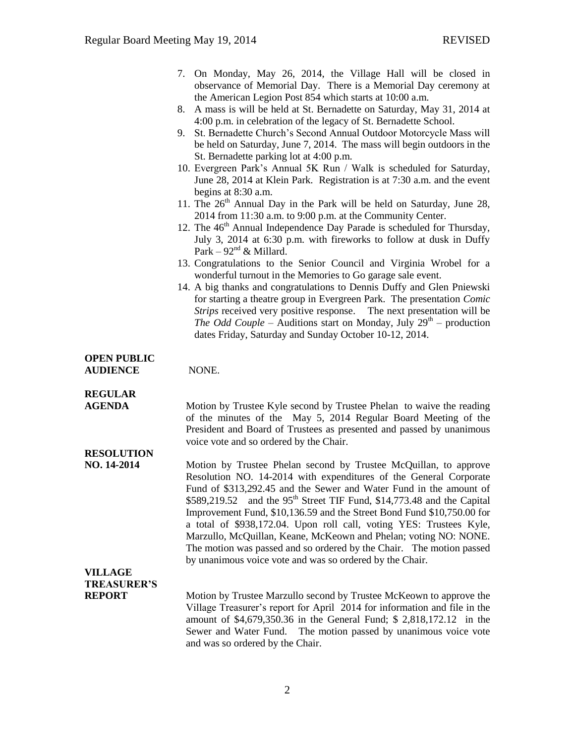|                                       | 7. On Monday, May 26, 2014, the Village Hall will be closed in<br>observance of Memorial Day. There is a Memorial Day ceremony at                                                                                                                                                                                                                                                                                                                                                                                                                                                                 |
|---------------------------------------|---------------------------------------------------------------------------------------------------------------------------------------------------------------------------------------------------------------------------------------------------------------------------------------------------------------------------------------------------------------------------------------------------------------------------------------------------------------------------------------------------------------------------------------------------------------------------------------------------|
|                                       | the American Legion Post 854 which starts at 10:00 a.m.<br>A mass is will be held at St. Bernadette on Saturday, May 31, 2014 at<br>8.                                                                                                                                                                                                                                                                                                                                                                                                                                                            |
|                                       | 4:00 p.m. in celebration of the legacy of St. Bernadette School.<br>9. St. Bernadette Church's Second Annual Outdoor Motorcycle Mass will<br>be held on Saturday, June 7, 2014. The mass will begin outdoors in the                                                                                                                                                                                                                                                                                                                                                                               |
|                                       | St. Bernadette parking lot at 4:00 p.m.<br>10. Evergreen Park's Annual 5K Run / Walk is scheduled for Saturday,<br>June 28, 2014 at Klein Park. Registration is at 7:30 a.m. and the event<br>begins at 8:30 a.m.                                                                                                                                                                                                                                                                                                                                                                                 |
|                                       | 11. The 26 <sup>th</sup> Annual Day in the Park will be held on Saturday, June 28,<br>2014 from 11:30 a.m. to 9:00 p.m. at the Community Center.                                                                                                                                                                                                                                                                                                                                                                                                                                                  |
|                                       | 12. The 46 <sup>th</sup> Annual Independence Day Parade is scheduled for Thursday,<br>July 3, 2014 at 6:30 p.m. with fireworks to follow at dusk in Duffy<br>Park – $92nd$ & Millard.                                                                                                                                                                                                                                                                                                                                                                                                             |
|                                       | 13. Congratulations to the Senior Council and Virginia Wrobel for a<br>wonderful turnout in the Memories to Go garage sale event.                                                                                                                                                                                                                                                                                                                                                                                                                                                                 |
|                                       | 14. A big thanks and congratulations to Dennis Duffy and Glen Pniewski<br>for starting a theatre group in Evergreen Park. The presentation Comic<br>Strips received very positive response. The next presentation will be<br><i>The Odd Couple</i> – Auditions start on Monday, July $29th$ – production<br>dates Friday, Saturday and Sunday October 10-12, 2014.                                                                                                                                                                                                                                |
| <b>OPEN PUBLIC</b><br><b>AUDIENCE</b> | NONE.                                                                                                                                                                                                                                                                                                                                                                                                                                                                                                                                                                                             |
| <b>REGULAR</b><br><b>AGENDA</b>       | Motion by Trustee Kyle second by Trustee Phelan to waive the reading<br>of the minutes of the May 5, 2014 Regular Board Meeting of the<br>President and Board of Trustees as presented and passed by unanimous<br>voice vote and so ordered by the Chair.                                                                                                                                                                                                                                                                                                                                         |
| <b>RESOLUTION</b><br>NO. 14-2014      | Motion by Trustee Phelan second by Trustee McQuillan, to approve<br>Resolution NO. 14-2014 with expenditures of the General Corporate<br>Fund of \$313,292.45 and the Sewer and Water Fund in the amount of<br>and the 95 <sup>th</sup> Street TIF Fund, \$14,773.48 and the Capital<br>\$589,219.52<br>Improvement Fund, \$10,136.59 and the Street Bond Fund \$10,750.00 for<br>a total of \$938,172.04. Upon roll call, voting YES: Trustees Kyle,<br>Marzullo, McQuillan, Keane, McKeown and Phelan; voting NO: NONE.<br>The motion was passed and so ordered by the Chair. The motion passed |
| <b>VILLAGE</b>                        | by unanimous voice vote and was so ordered by the Chair.                                                                                                                                                                                                                                                                                                                                                                                                                                                                                                                                          |
| <b>TREASURER'S</b><br><b>REPORT</b>   | Motion by Trustee Marzullo second by Trustee McKeown to approve the                                                                                                                                                                                                                                                                                                                                                                                                                                                                                                                               |
|                                       | Village Treasurer's report for April 2014 for information and file in the<br>amount of \$4,679,350.36 in the General Fund; \$ 2,818,172.12 in the<br>Sewer and Water Fund. The motion passed by unanimous voice vote<br>and was so ordered by the Chair.                                                                                                                                                                                                                                                                                                                                          |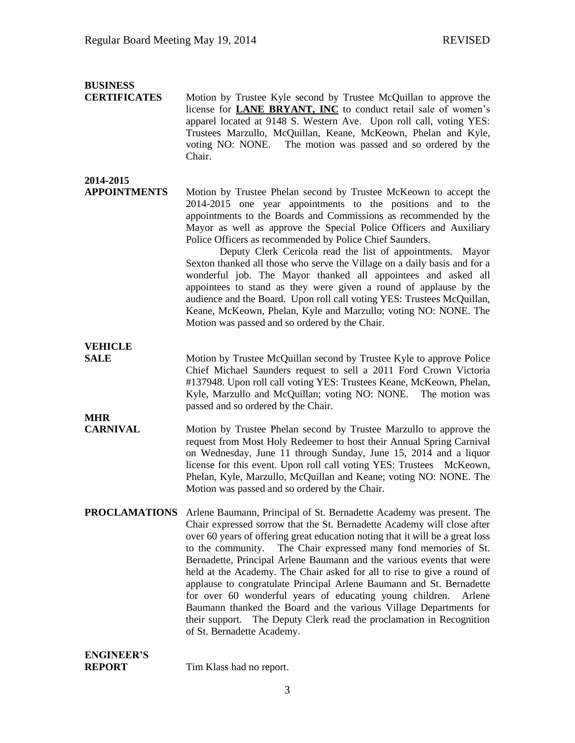## **BUSINESS**

**CERTIFICATES** Motion by Trustee Kyle second by Trustee McQuillan to approve the license for **LANE BRYANT, INC** to conduct retail sale of women's apparel located at 9148 S. Western Ave. Upon roll call, voting YES: Trustees Marzullo, McQuillan, Keane, McKeown, Phelan and Kyle, voting NO: NONE. The motion was passed and so ordered by the Chair.

## **2014-2015**

**APPOINTMENTS** Motion by Trustee Phelan second by Trustee McKeown to accept the 2014-2015 one year appointments to the positions and to the appointments to the Boards and Commissions as recommended by the Mayor as well as approve the Special Police Officers and Auxiliary Police Officers as recommended by Police Chief Saunders.

> Deputy Clerk Cericola read the list of appointments. Mayor Sexton thanked all those who serve the Village on a daily basis and for a wonderful job. The Mayor thanked all appointees and asked all appointees to stand as they were given a round of applause by the audience and the Board. Upon roll call voting YES: Trustees McQuillan, Keane, McKeown, Phelan, Kyle and Marzullo; voting NO: NONE. The Motion was passed and so ordered by the Chair.

**VEHICLE**

**MHR**

**SALE** Motion by Trustee McQuillan second by Trustee Kyle to approve Police Chief Michael Saunders request to sell a 2011 Ford Crown Victoria #137948. Upon roll call voting YES: Trustees Keane, McKeown, Phelan, Kyle, Marzullo and McQuillan; voting NO: NONE. The motion was passed and so ordered by the Chair.

- **CARNIVAL** Motion by Trustee Phelan second by Trustee Marzullo to approve the request from Most Holy Redeemer to host their Annual Spring Carnival on Wednesday, June 11 through Sunday, June 15, 2014 and a liquor license for this event. Upon roll call voting YES: Trustees McKeown, Phelan, Kyle, Marzullo, McQuillan and Keane; voting NO: NONE. The Motion was passed and so ordered by the Chair.
- **PROCLAMATIONS** Arlene Baumann, Principal of St. Bernadette Academy was present. The Chair expressed sorrow that the St. Bernadette Academy will close after over 60 years of offering great education noting that it will be a great loss to the community. The Chair expressed many fond memories of St. Bernadette, Principal Arlene Baumann and the various events that were held at the Academy. The Chair asked for all to rise to give a round of applause to congratulate Principal Arlene Baumann and St. Bernadette for over 60 wonderful years of educating young children. Arlene Baumann thanked the Board and the various Village Departments for their support. The Deputy Clerk read the proclamation in Recognition of St. Bernadette Academy.

## **ENGINEER'S**

**REPORT** Tim Klass had no report.